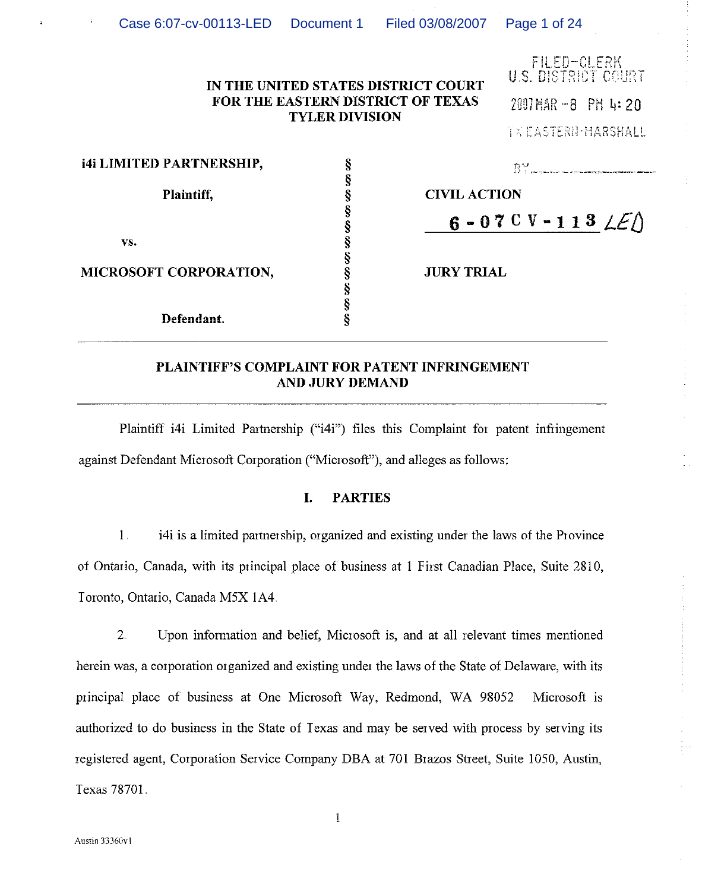| Filed 03/08/2007   Page 1 of 24<br>Case 6:07-cv-00113-LED Document 1 |  |
|----------------------------------------------------------------------|--|
|----------------------------------------------------------------------|--|

|                                 | IN THE UNITED STATES DISTRICT COURT<br>FOR THE EASTERN DISTRICT OF TEXAS<br><b>TYLER DIVISION</b> | tilltu-ullkn<br>U.S. DISTRICT COURT<br>2007 MAR -8 PM 4:20<br><b>TXEASTERN-MARSHALL</b> |
|---------------------------------|---------------------------------------------------------------------------------------------------|-----------------------------------------------------------------------------------------|
| <b>i4i LIMITED PARTNERSHIP,</b> |                                                                                                   | $BY$ <sub>2</sub>                                                                       |
| Plaintiff.                      |                                                                                                   | <b>CIVIL ACTION</b>                                                                     |
|                                 |                                                                                                   | 6 - 07 C V - 113 $LE$                                                                   |
| VS.                             |                                                                                                   |                                                                                         |
| MICROSOFT CORPORATION,          |                                                                                                   | <b>JURY TRIAL</b>                                                                       |
|                                 |                                                                                                   |                                                                                         |
| Defendant.                      |                                                                                                   |                                                                                         |

# PLAINTIFF'S COMPLAINT FOR PATENT INFRINGEMENT **AND JURY DEMAND**

Plaintiff i4i Limited Partnership ("i4i") files this Complaint for patent infringement against Defendant Microsoft Corporation ("Microsoft"), and alleges as follows:

#### L. **PARTIES**

 $1<sub>1</sub>$ i4i is a limited partnership, organized and existing under the laws of the Province of Ontario, Canada, with its principal place of business at 1 First Canadian Place, Suite 2810, Toronto, Ontario, Canada M5X 1A4.

 $2.$ Upon information and belief, Microsoft is, and at all relevant times mentioned herein was, a corporation organized and existing under the laws of the State of Delaware, with its principal place of business at One Microsoft Way, Redmond, WA 98052 Microsoft is authorized to do business in the State of Texas and may be served with process by serving its registered agent, Corporation Service Company DBA at 701 Brazos Street, Suite 1050, Austin, Texas 78701.

 $\mathbf 1$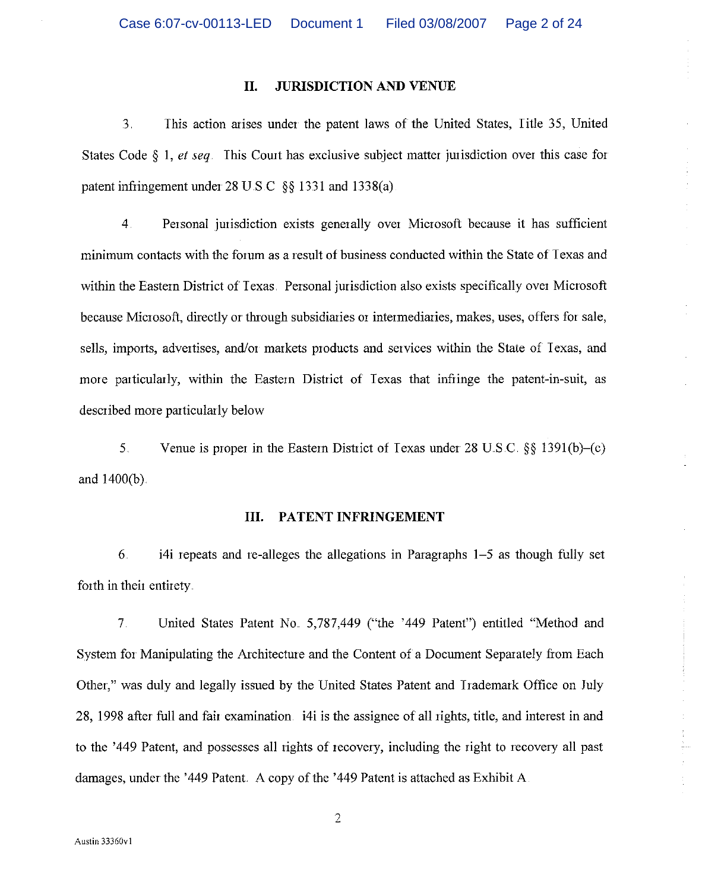#### II. **JURISDICTION AND VENUE**

 $3<sup>1</sup>$ This action arises under the patent laws of the United States, Title 35, United States Code  $\S$  1, *et seq.* This Court has exclusive subject matter jurisdiction over this case for patent infringement under 28 U.S.C.  $\S$  1331 and 1338(a).

 $4<sup>1</sup>$ Personal jurisdiction exists generally over Microsoft because it has sufficient minimum contacts with the forum as a result of business conducted within the State of Texas and within the Eastern District of Texas. Personal jurisdiction also exists specifically over Microsoft because Microsoft, directly or through subsidiaries or intermediaries, makes, uses, offers for sale, sells, imports, advertises, and/or markets products and services within the State of Texas, and more particularly, within the Eastern District of Texas that infringe the patent-in-suit, as described more particularly below

Venue is proper in the Eastern District of Texas under 28 U.S.C.  $\S$  1391(b)–(c)  $5<sub>1</sub>$ and 1400(b).

#### PATENT INFRINGEMENT Ш.

 $6.$ i4i repeats and re-alleges the allegations in Paragraphs 1–5 as though fully set forth in their entirety.

 $7<sub>1</sub>$ United States Patent No. 5,787,449 ("the '449 Patent") entitled "Method and System for Manipulating the Architecture and the Content of a Document Separately from Each Other," was duly and legally issued by the United States Patent and Trademark Office on July 28, 1998 after full and fair examination i4i is the assignee of all rights, title, and interest in and to the '449 Patent, and possesses all rights of recovery, including the right to recovery all past damages, under the '449 Patent. A copy of the '449 Patent is attached as Exhibit A.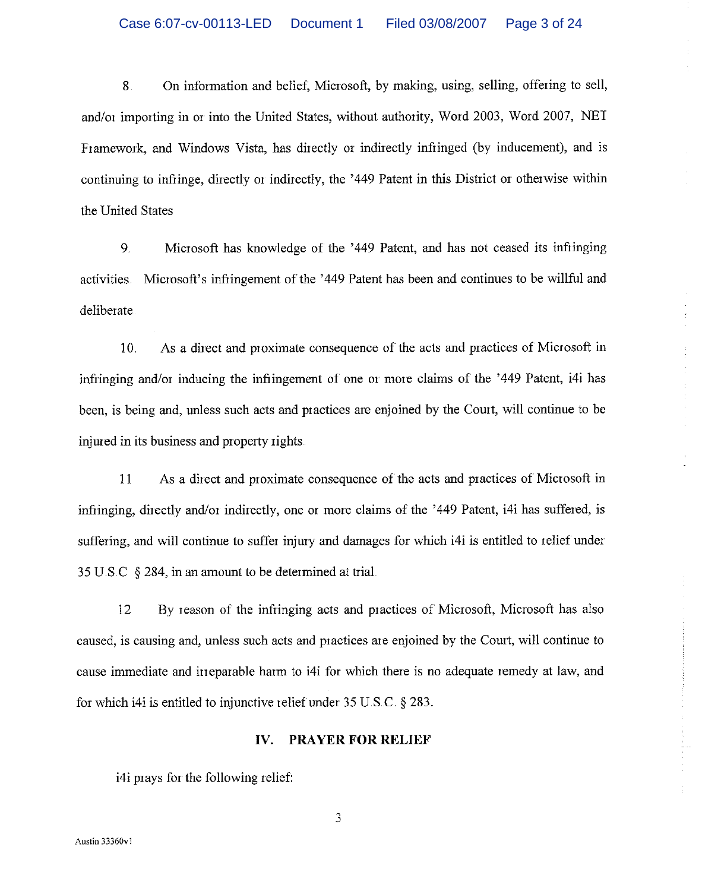$\bar{8}$ . On information and belief, Microsoft, by making, using, selling, offering to sell, and/or importing in or into the United States, without authority, Word 2003, Word 2007, NET Framework, and Windows Vista, has directly or indirectly infiinged (by inducement), and is continuing to infringe, directly or indirectly, the '449 Patent in this District or otherwise within the United States

Microsoft has knowledge of the '449 Patent, and has not ceased its infiinging  $9<sub>1</sub>$ activities. Microsoft's infringement of the '449 Patent has been and continues to be willful and deliberate.

 $10.$ As a direct and proximate consequence of the acts and practices of Microsoft in infringing and/or inducing the infringement of one or more claims of the '449 Patent, i4i has been, is being and, unless such acts and practices are enjoined by the Court, will continue to be injured in its business and property rights.

11 As a direct and proximate consequence of the acts and practices of Microsoft in infringing, directly and/or indirectly, one or more claims of the '449 Patent, i4i has suffered, is suffering, and will continue to suffer injury and damages for which i4i is entitled to relief under 35 U.S.C  $\ S$  284, in an amount to be determined at trial.

By reason of the infringing acts and practices of Microsoft, Microsoft has also 12 caused, is causing and, unless such acts and practices are enjoined by the Court, will continue to cause immediate and irreparable harm to i4i for which there is no adequate remedy at law, and for which i4i is entitled to injunctive relief under  $35 \text{ U.S.C.}$  §  $283$ .

#### **PRAYER FOR RELIEF** IV.

i4i prays for the following relief: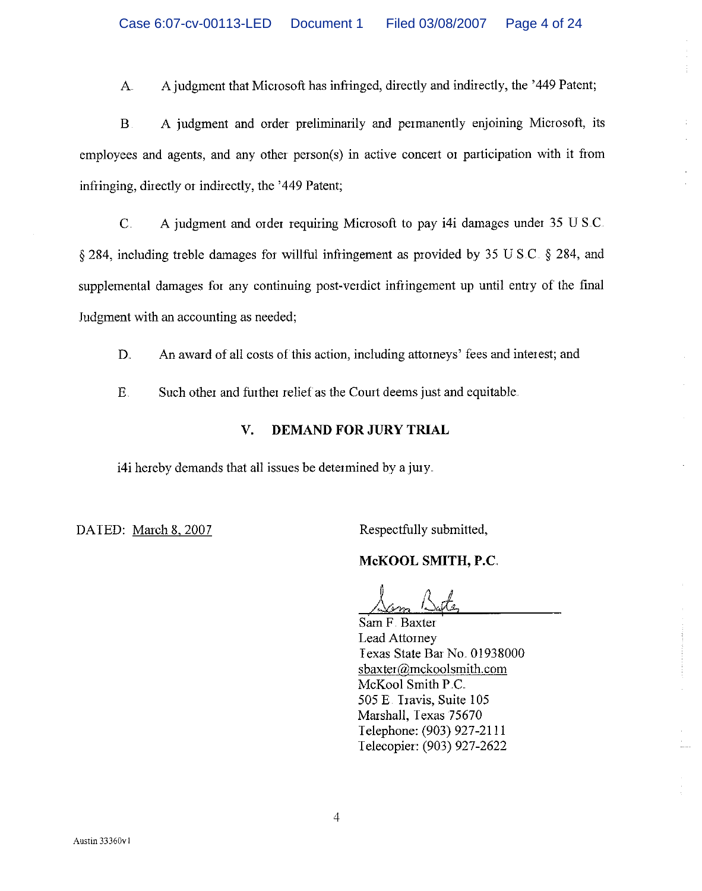$\mathbf{A}$ A judgment that Microsoft has infringed, directly and indirectly, the '449 Patent;

 $\overline{B}$ A judgment and order preliminarily and permanently enjoining Microsoft, its employees and agents, and any other person(s) in active concert or participation with it from infringing, directly or indirectly, the '449 Patent;

 $\overline{C}$ . A judgment and order requiring Microsoft to pay i4i damages under 35 U S.C.  $\S 284$ , including treble damages for willful infringement as provided by 35 U.S.C.  $\S 284$ , and supplemental damages for any continuing post-verdict infringement up until entry of the final Judgment with an accounting as needed;

D. An award of all costs of this action, including attorneys' fees and interest; and

 $E_{\cdot}$ Such other and further relief as the Court deems just and equitable.

#### **DEMAND FOR JURY TRIAL**  $\mathbf{V}$

i4i hereby demands that all issues be determined by a jury.

DATED: March 8, 2007

Respectfully submitted,

# McKOOL SMITH, P.C.

Sam F Baxter Lead Attorney Texas State Bar No. 01938000 sbaxter@mckoolsmith.com McKool Smith P.C. 505 E. Travis, Suite 105 Marshall, Texas 75670 Telephone: (903) 927-2111 Telecopier: (903) 927-2622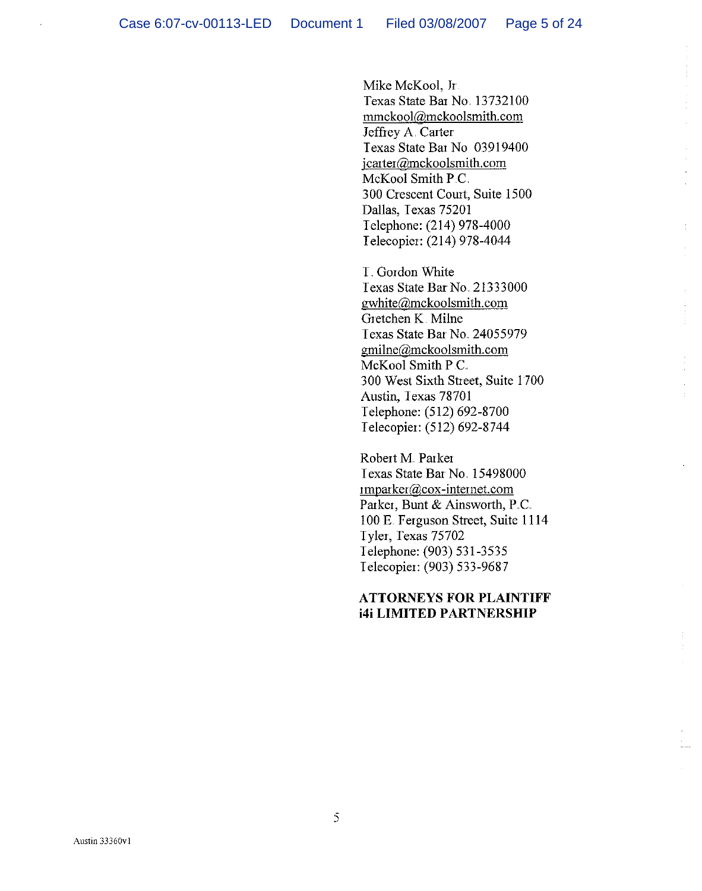Mike McKool, Jr. Texas State Bar No. 13732100 mmckool@mckoolsmith.com Jeffrey A. Carter Texas State Bat No 03919400 jcarter@mckoolsmith.com McKool Smith P.C. 300 Crescent Court, Suite 1500 Dallas, Texas 75201 Telephone: (214) 978-4000 Telecopier: (214) 978-4044

T. Gordon White Texas State Bar No. 21333000 gwhite@mckoolsmith.com Gretchen K Milne Texas State Bar No. 24055979 gmilne@mckoolsmith.com McKool Smith P.C. 300 West Sixth Street, Suite 1700 Austin, Texas 78701 Telephone: (512) 692-8700 Telecopier: (512) 692-8744

Robert M. Parker Texas State Bar No. 15498000  $impacter@cov-internet.com$ Parker, Bunt & Ainsworth, P.C. 100 E. Ferguson Street, Suite 1114 Tyler, Texas 75702 Telephone: (903) 531-3535 Telecopier: (903) 533-9687

# **ATTORNEYS FOR PLAINTIFF i4i LIMITED PARTNERSHIP**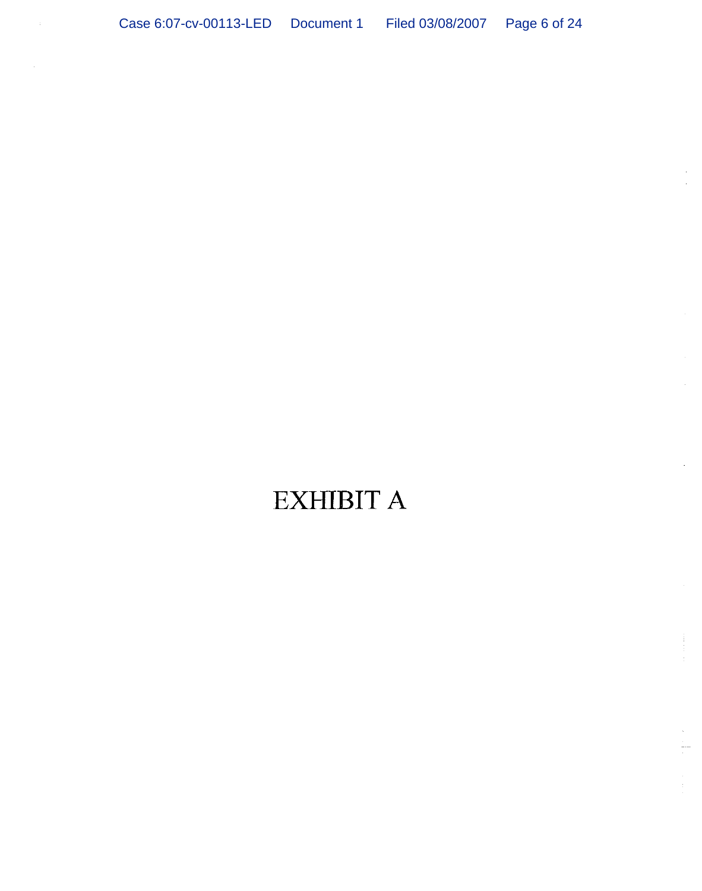# **EXHIBIT A**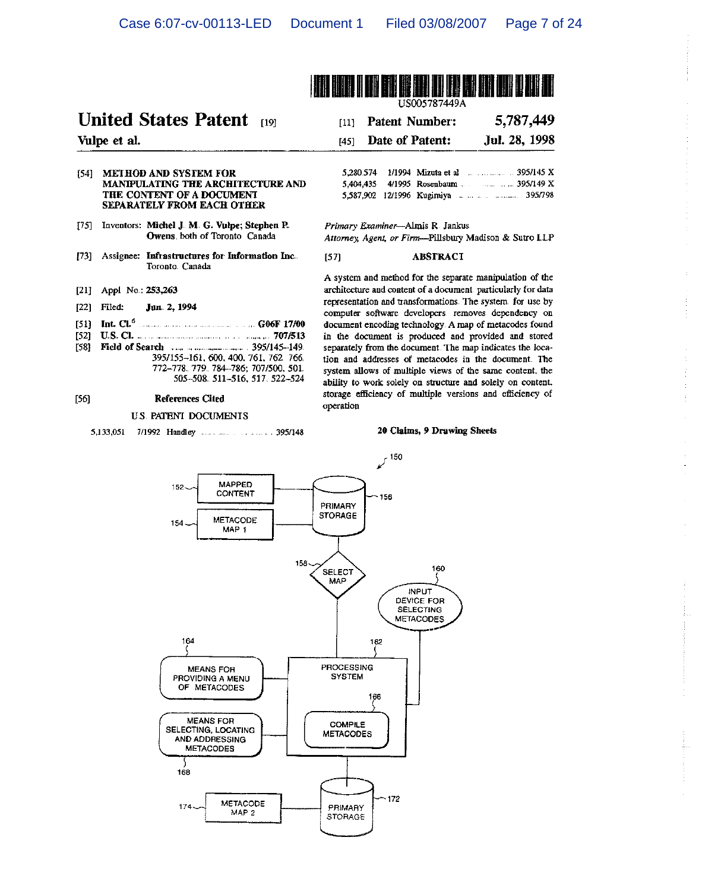$[57]$ 



# **United States Patent** not

Vulpe et al.

#### [54] METHOD AND SYSTEM FOR MANIPULATING THE ARCHITECTURE AND THE CONTENT OF A DOCUMENT SEPARATELY FROM EACH OTHER

- [75] Inventors: Michel J. M. G. Vulpe; Stephen P. Owens both of Toronto Canada
- [73] Assignee: Infrastructures for Information Inc... Toronto. Canada
- [21] Appl No. 253,263
- $[22]$  Filed: Jun 2, 1994
- [51] Int.  $CL^6$ **COOK 17/00**
- $[52]$  $[58]$ 
	- 395/155-161, 600, 400, 761, 762, 766, 772-778. 779. 784-786; 707/500, 501. 505-508 511-516, 517 522-524

#### $[56]$ **References Cited**

# U.S. PATENT DOCUMENTS

#### 5,787,449 **Patent Number:**  $[11]$ Date of Patent: Jul. 28, 1998  $[45]$ 5,280.574 1/1994 Mizuta et al manusculus 395/145 X 5,404,435 5,587,902 12/1996 Kugimiya ... ... ... ... ............ 395/798

Primary Examiner-Almis R. Jankus Attorney, Agent, or Firm--Pillsbury Madison & Sutro LLP

#### **ABSTRACT**

A system and method for the separate manipulation of the architecture and content of a document particularly for data representation and transformations. The system for use by computer software developers removes dependency on document encoding technology. A map of metacodes found in the document is produced and provided and stored separately from the document. The map indicates the location and addresses of metacodes in the document. The system allows of multiple views of the same content, the ability to work solely on structure and solely on content. storage efficiency of multiple versions and efficiency of operation

#### 20 Claims, 9 Drawing Sheets

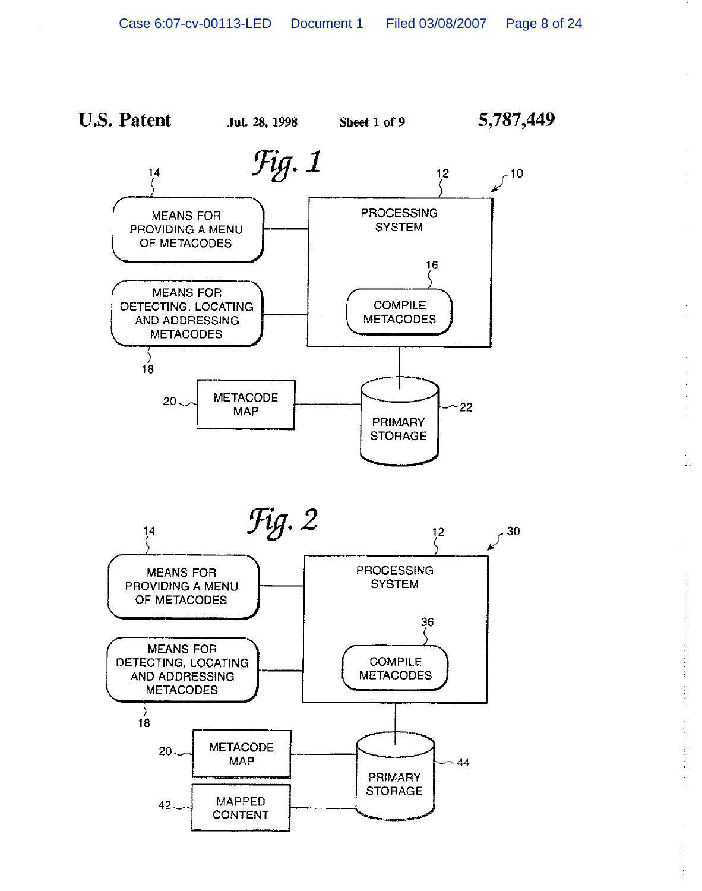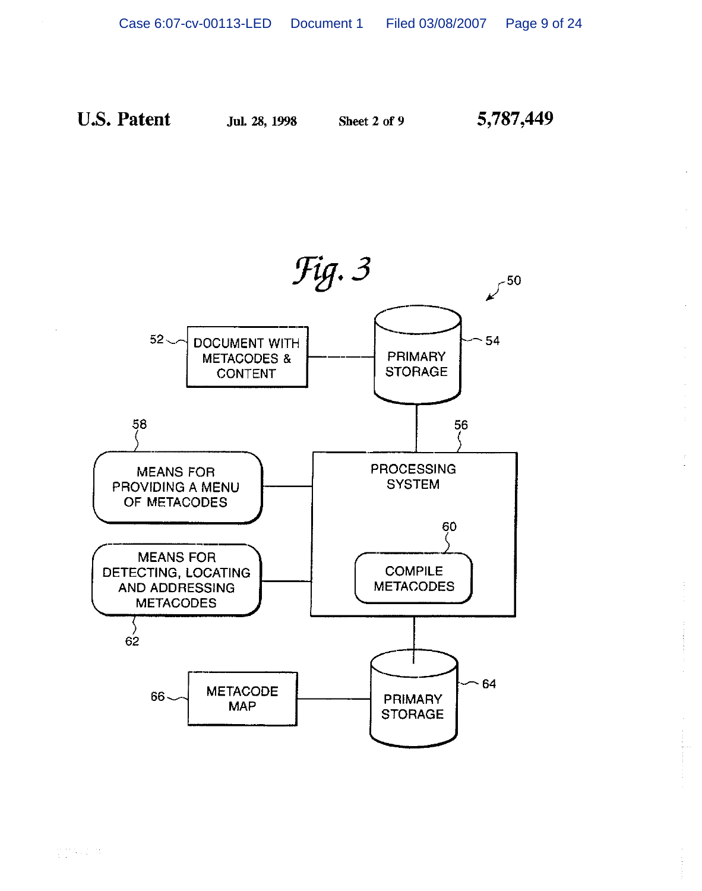Jul. 28, 1998

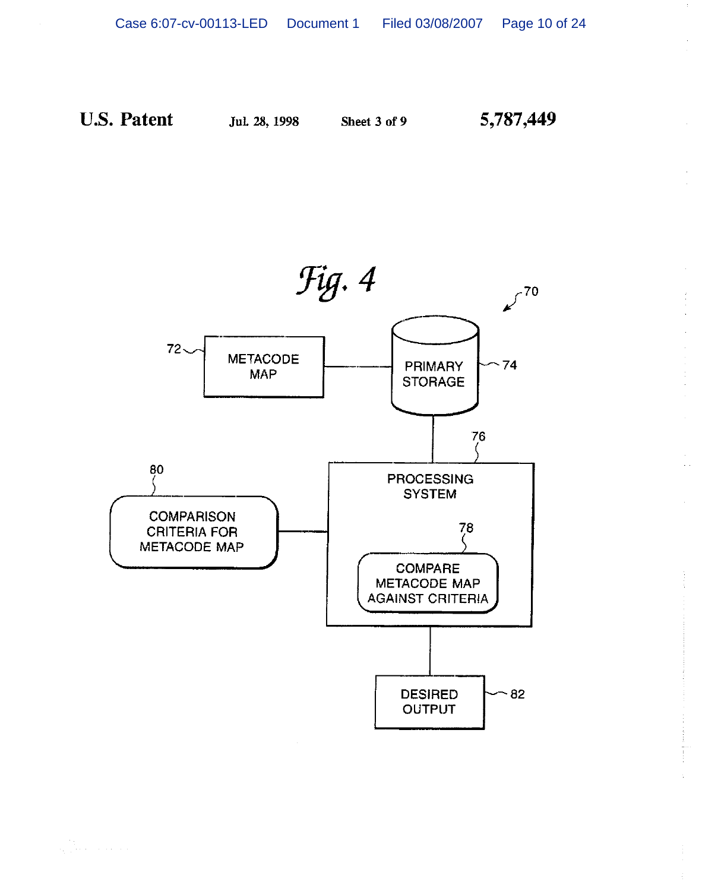Jul. 28, 1998

Sheet 3 of 9

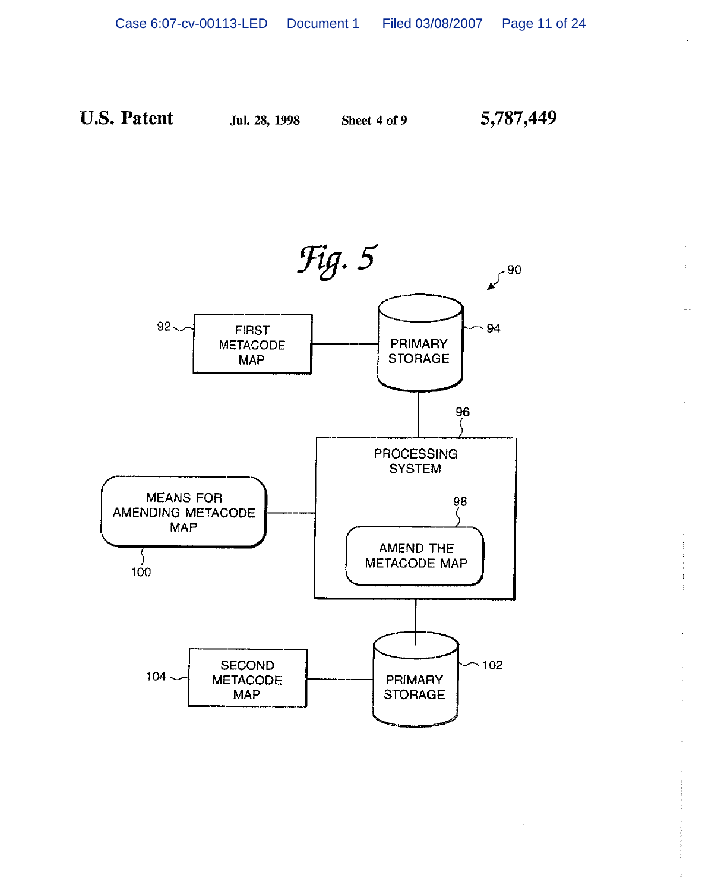

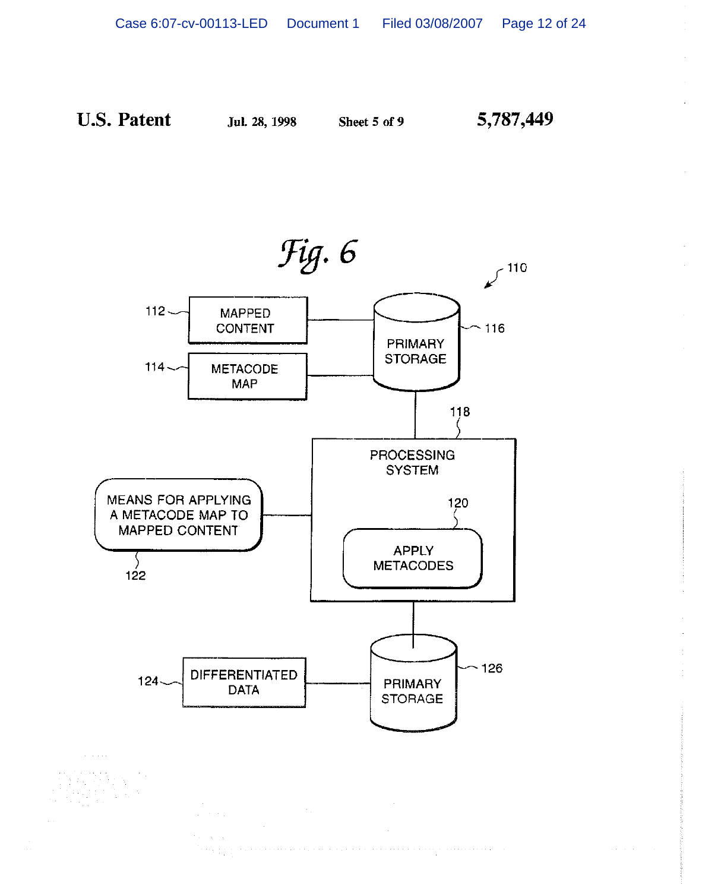5,787,449



 $\mathcal{L}^{\text{max}}(\mathcal{F})$ 

 $\alpha = \lambda = \alpha^2$ Terry by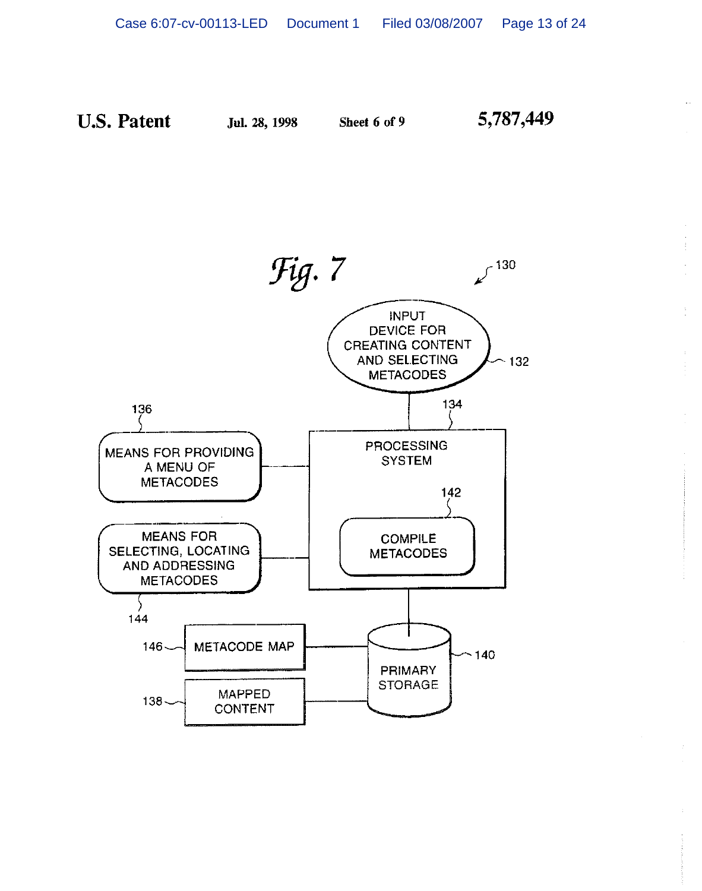

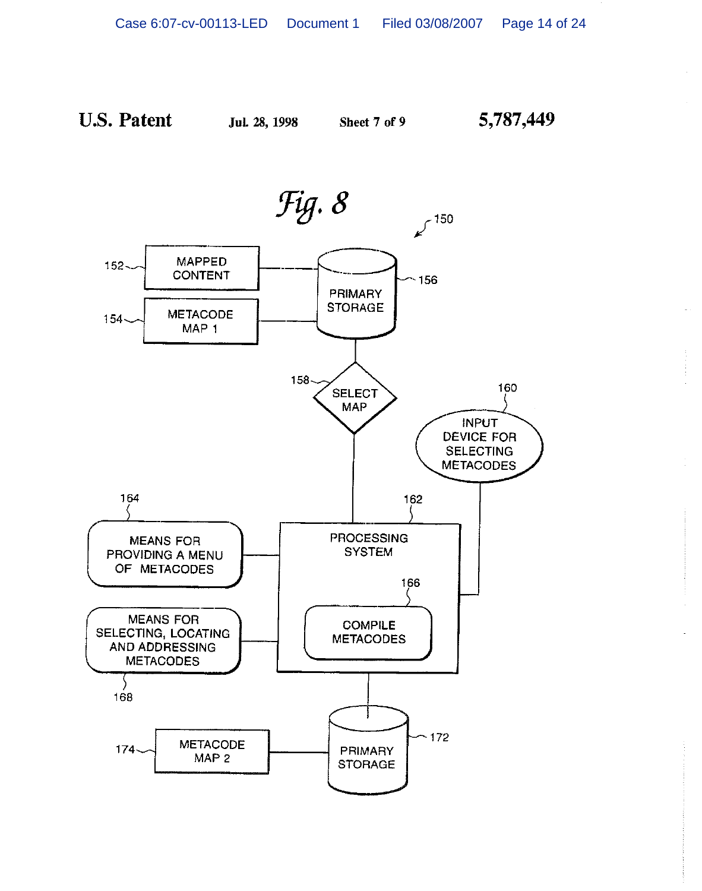Jul. 28, 1998

Sheet 7 of 9

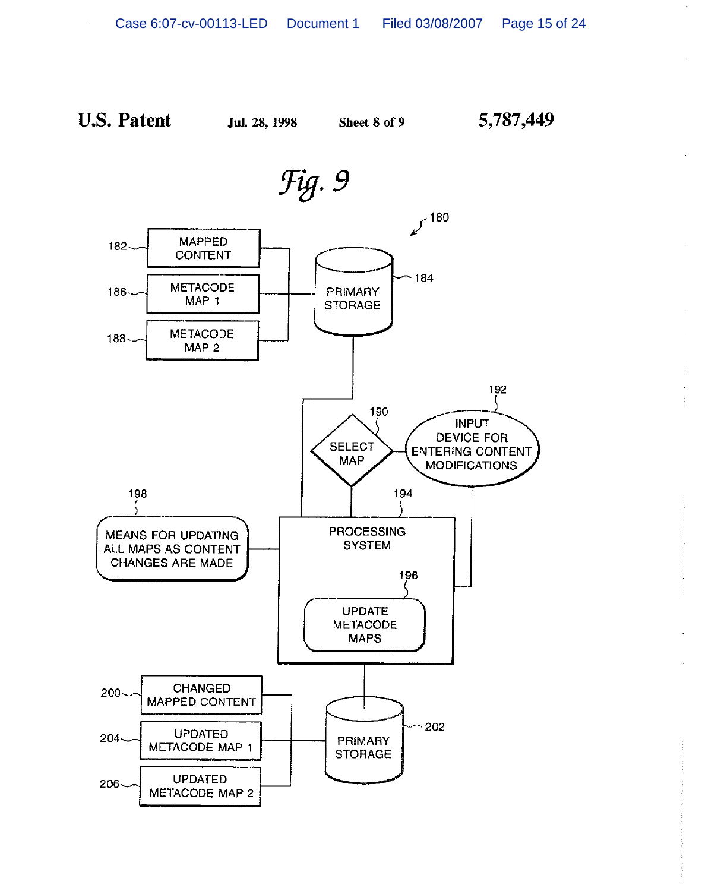Sheet 8 of 9

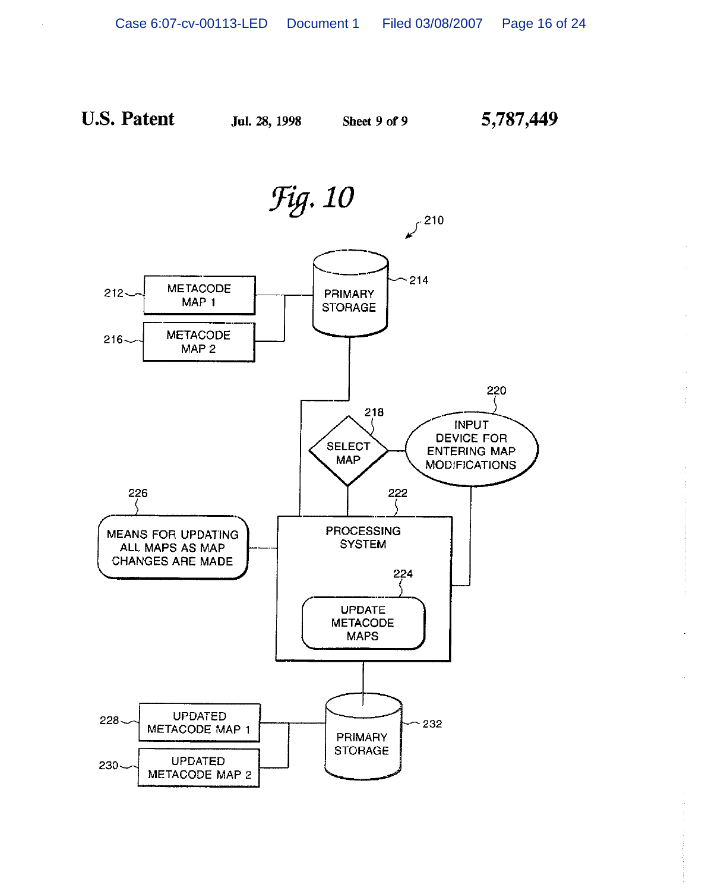Jul. 28, 1998

Sheet 9 of 9

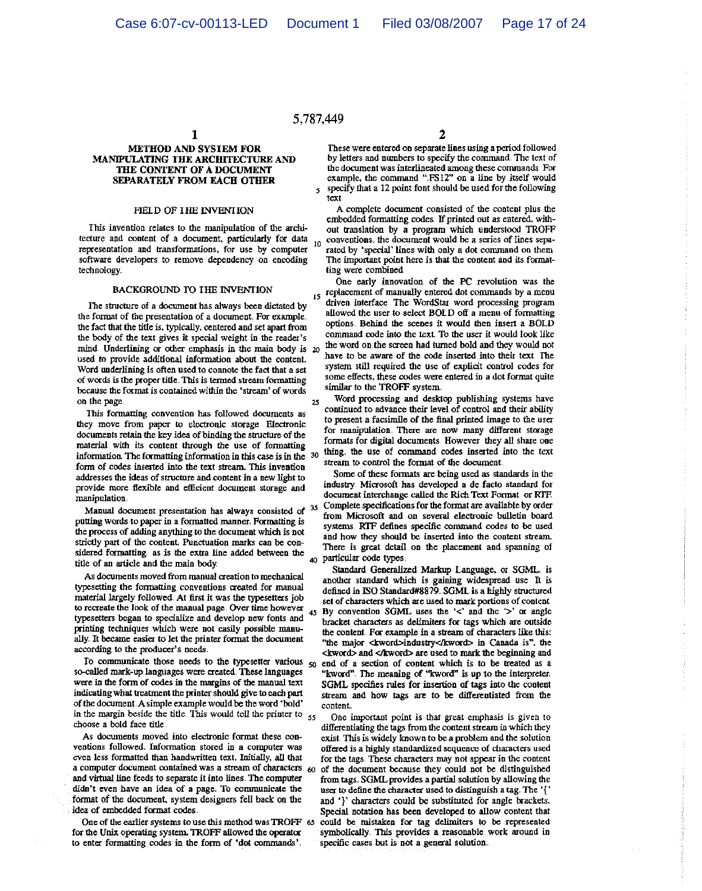# 5.787.449

 $\overline{\mathbf{5}}$ 

 $\mathbf{1}$ 

#### **METHOD AND SYSTEM FOR** MANIPULATING THE ARCHITECTURE AND THE CONTENT OF A DOCUMENT **SEPARATELY FROM EACH OTHER**

#### FIELD OF THE INVENTION

This invention relates to the manipulation of the architecture and content of a document, particularly for data  $10<sup>1</sup>$ representation and transformations, for use by computer software developers to remove dependency on encoding technology.

#### **BACKGROUND TO THE INVENTION**

The structure of a document has always been dictated by the format of the presentation of a document. For example, the fact that the title is, typically, centered and set apart from the body of the text gives it special weight in the reader's mind. Underlining or other emphasis in the main body is 20 used to provide additional information about the content. Word underlining is often used to connote the fact that a set of words is the proper title. This is termed stream formatting because the format is contained within the 'stream' of words on the page.  $25$ 

This formatting convention has followed documents as they move from paper to electronic storage Electronic documents retain the key idea of binding the structure of the material with its content through the use of formatting information. The formatting information in this case is in the 30 form of codes inserted into the text stream. This invention addresses the ideas of structure and content in a new light to provide more flexible and efficient document storage and manipulation.

Manual document presentation has always consisted of putting words to paper in a formatted manner. Formatting is the process of adding anything to the document which is not strictly part of the content. Punctuation marks can be considered formatting as is the extra line added between the title of an article and the main body

As documents moved from manual creation to mechanical typesetting the formatting conventions created for manual material largely followed. At first it was the typesetters job to recreate the look of the manual page. Over time however typesetters began to specialize and develop new fonts and printing techniques which were not easily possible manually. It became easier to let the printer format the document according to the producer's needs.

To communicate those needs to the typesetter various  $_{50}$ so-called mark-up languages were created. These languages were in the form of codes in the margins of the manual text indicating what treatment the printer should give to each part of the document. A simple example would be the word 'bold' in the margin beside the title. This would tell the printer to  $_{55}$ choose a bold face title.

As documents moved into electronic format these conventions followed. Information stored in a computer was even less formatted than handwritten text. Initially, all that a computer document contained was a stream of characters  $60$ and virtual line feeds to separate it into lines. The computer didn't even have an idea of a page. To communicate the format of the document, system designers fell back on the idea of embedded format codes.

One of the earlier systems to use this method was TROFF 65 for the Unix operating system. TROFF allowed the operator to enter formatting codes in the form of 'dot commands'.

 $\overline{2}$ 

These were entered on separate lines using a period followed by letters and numbers to specify the command. The text of the document was interlineated among these commands. For example, the command "FS12" on a line by itself would specify that a 12 point font should be used for the following text.

A complete document consisted of the content plus the embedded formatting codes. If printed out as entered, without translation by a program which understood TROFF conventions, the document would be a series of lines separated by 'special' lines with only a dot command on them The important point here is that the content and its formatting were combined

One early innovation of the PC revolution was the 15 replacement of manually entered dot commands by a menu driven interface. The WordStar word processing program allowed the user to select BOLD off a menu of formatting options. Behind the scenes it would then insert a BOLD command code into the text. To the user it would look like the word on the screen had turned bold and they would not have to be aware of the code inserted into their text. The system still required the use of explicit control codes for some effects, these codes were entered in a dot format quite similar to the TROFF system.

Word processing and desktop publishing systems have continued to advance their level of control and their ability to present a facsimile of the final printed image to the user for manipulation. There are now many different storage formats for digital documents. However they all share one thing, the use of command codes inserted into the text stream to control the format of the document.

Some of these formats are being used as standards in the industry. Microsoft has developed a de facto standard for document interchange called the Rich Text Format or RTF. Complete specifications for the format are available by order from Microsoft and on several electronic bulletin board systems. RTF defines specific command codes to be used and how they should be inserted into the content stream. There is great detail on the placement and spanning of 40 particular code types.

Standard Generalized Markup Language, or SGML is another standard which is gaining widespread use It is defined in ISO Standard#8879. SGML is a highly structured set of characters which are used to mark portions of content By convention SGML uses the ' $lt$ ' and the ' $gt$ ' or angle bracket characters as delimiters for tags which are outside the content. For example in a stream of characters like this: "the major <kword>industry</kword> in Canada is", the <kword> and </kword> are used to mark the beginning and end of a section of content which is to be treated as a "kword". The meaning of "kword" is up to the interpreter. SGML specifies rules for insertion of tags into the content stream and how tags are to be differentiated from the content.

One important point is that great emphasis is given to differentiating the tags from the content stream in which they exist. This is widely known to be a problem and the solution offered is a highly standardized sequence of characters used for the tags. These characters may not appear in the content of the document because they could not be distinguished from tags. SGML provides a partial solution by allowing the user to define the character used to distinguish a tag. The '{' and '}' characters could be substituted for angle brackets. Special notation has been developed to allow content that could be mistaken for tag delimiters to be represented symbolically. This provides a reasonable work around in specific cases but is not a general solution.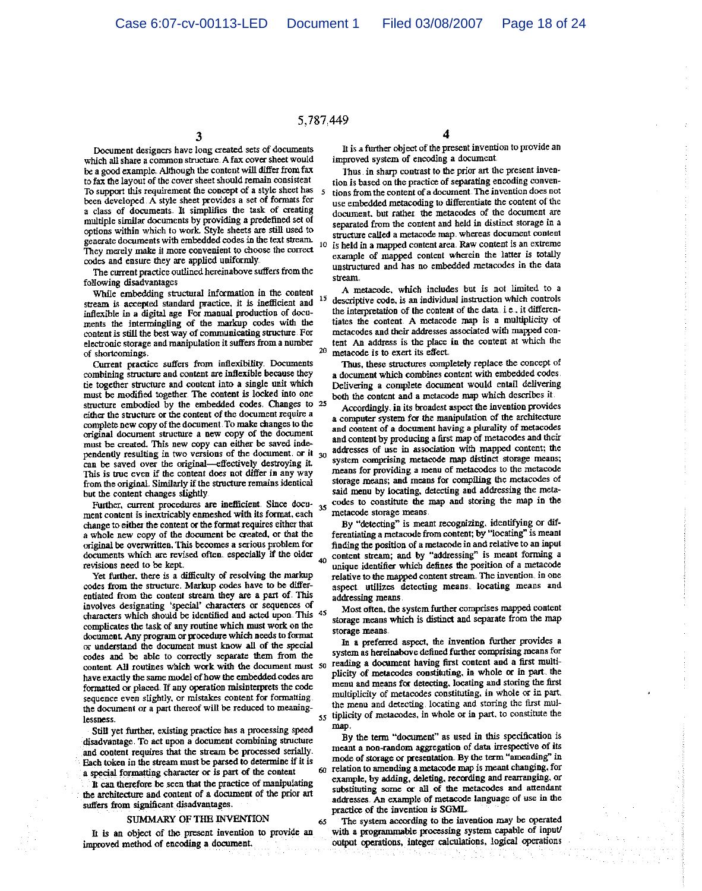5,787.449

Document designers have long created sets of documents which all share a common structure. A fax cover sheet would be a good example. Although the content will differ from fax to fax the layout of the cover sheet should remain consistent To support this requirement the concept of a style sheet has been developed. A style sheet provides a set of formats for a class of documents. It simplifies the task of creating multiple similar documents by providing a predefined set of options within which to work. Style sheets are still used to generate documents with embedded codes in the text stream. They merely make it more convenient to choose the correct codes and ensure they are applied uniformly

The current practice outlined hereinabove suffers from the following disadvantages

While embedding structural information in the content stream is accepted standard practice, it is inefficient and inflexible in a digital age For manual production of documents the intermingling of the markup codes with the content is still the best way of communicating structure. For electronic storage and manipulation it suffers from a number of shortcomings.

Current practice suffers from inflexibility. Documents combining structure and content are inflexible because they tie together structure and content into a single unit which must be modified together. The content is locked into one structure embodied by the embedded codes. Changes to 25 either the structure or the content of the document require a complete new copy of the document. To make changes to the original document structure a new copy of the document must be created. This new copy can either be saved independently resulting in two versions of the document. or it  $_{30}$ can be saved over the original—effectively destroying it. This is true even if the content does not differ in any way from the original. Similarly if the structure remains identical but the content changes slightly

Further, current procedures are inefficient. Since docu- $35$ ment content is inextricably enmeshed with its format, each change to either the content or the format requires either that a whole new copy of the document be created, or that the original be overwritten. This becomes a scrious problem for documents which are revised often especially if the older  $40<sub>1</sub>$ revisions need to be kept.

Yet further, there is a difficulty of resolving the markup codes from the structure. Markup codes have to be differentiated from the content stream they are a part of. This involves designating 'special' characters or sequences of characters which should be identified and acted upon. This 45 complicates the task of any routine which must work on the document. Any program or procedure which needs to format or understand the document must know all of the special codes and be able to correctly separate them from the content All routines which work with the document must 50 have exactly the same model of how the embedded codes are formatted or placed. If any operation misinterprets the code sequence even slightly, or mistakes content for formatting. the document or a part thereof will be reduced to meaninglessness

Still yet further, existing practice has a processing speed disadvantage. To act upon a document combining structure and content requires that the stream be processed serially. Each token in the stream must be parsed to determine if it is a special formatting character or is part of the content

It can therefore be seen that the practice of manipulating the architecture and content of a document of the prior art suffers from significant disadvantages.

#### SUMMARY OF THE INVENTION

65

It is an object of the present invention to provide an improved method of encoding a document.

It is a further object of the present invention to provide an improved system of encoding a document.

Thus in sharp contrast to the prior art the present invention is based on the practice of separating encoding conventions from the content of a document. The invention does not use embedded metacoding to differentiate the content of the document, but rather the metacodes of the document are separated from the content and held in distinct storage in a structure called a metacode map, whereas document content is held in a mapped content area. Raw content is an extreme example of mapped content wherein the latter is totally unstructured and has no embedded metacodes in the data stream.

A metacode, which includes but is not limited to a  $15$ descriptive code, is an individual instruction which controls the interpretation of the content of the data i.e., it differentiates the content. A metacode map is a multiplicity of metacodes and their addresses associated with mapped content An address is the place in the content at which the 20 metacode is to exert its effect.

Thus, these structures completely replace the concept of a document which combines content with embedded codes. Delivering a complete document would entail delivering both the content and a metacode map which describes it.

Accordingly, in its broadest aspect the invention provides a computer system for the manipulation of the architecture and content of a document having a plurality of metacodes and content by producing a first map of metacodes and their addresses of use in association with mapped content; the system comprising metacode map distinct storage means; means for providing a menu of metacodes to the metacode storage means; and means for compiling the metacodes of said menu by locating, detecting and addressing the metacodes to constitute the map and storing the map in the metacode storage means

By "detecting" is meant recognizing, identifying or differentiating a metacode from content; by "locating" is meant finding the position of a metacode in and relative to an input content stream; and by "addressing" is meant forming a unique identifier which defines the position of a metacode relative to the mapped content stream. The invention, in one aspect utilizes detecting means. locating means and addressing means

Most often, the system further comprises mapped content storage means which is distinct and separate from the map storage means

In a preferred aspect, the invention further provides a system as hereinabove defined further comprising means for reading a document having first content and a first multiplicity of metacodes constituting, in whole or in part. the menu and means for detecting, locating and storing the first multiplicity of metacodes constituting, in whole or in part. the menu and detecting, locating and storing the first mul-55 tiplicity of metacodes, in whole or in part, to constitute the map

By the term "document" as used in this specification is meant a non-random aggregation of data irrespective of its mode of storage or presentation. By the term "amending" in relation to amending a metacode map is meant changing, for example, by adding, deleting, recording and rearranging, or substituting some or all of the metacodes and attendant addresses. An example of metacode language of use in the practice of the invention is SGML.

The system according to the invention may be operated with a programmable processing system capable of input/ output operations, integer calculations, logical operations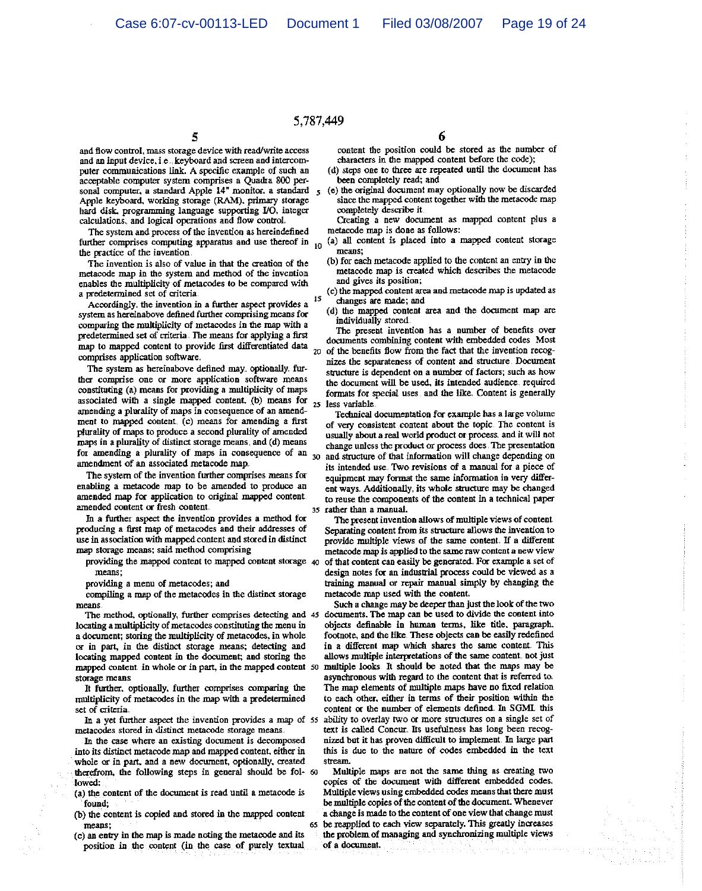# 5,787,449

and flow control, mass storage device with read/write access and an input device, i.e., keyboard and screen and intercomputer communications link. A specific example of such an acceptable computer system comprises a Quadra 800 personal computer, a standard Apple 14" monitor, a standard Apple keyboard, working storage (RAM), primary storage hard disk. programming language supporting I/O, integer calculations, and logical operations and flow control.

5

The system and process of the invention as hereindefined further comprises computing apparatus and use thereof in 10 the practice of the invention

The invention is also of value in that the creation of the metacode map in the system and method of the invention enables the multiplicity of metacodes to be compared with a predetermined set of criteria 15

Accordingly, the invention in a further aspect provides a system as hereinabove defined further comprising means for comparing the multiplicity of metacodes in the map with a predetermined set of criteria. The means for applying a first map to mapped content to provide first differentiated data 20 comprises application software.

The system as hereinabove defined may optionally further comprise one or more application software means constituting (a) means for providing a multiplicity of maps associated with a single mapped content. (b) means for  $25$ amending a plurality of maps in consequence of an amendment to mapped content. (c) means for amending a first plurality of maps to produce a second plurality of amended maps in a plurality of distinct storage means, and (d) means for amending a plurality of maps in consequence of an  $_{30}$ amendment of an associated metacode map.

The system of the invention further comprises means for enabling a metacode map to be amended to produce an amended map for application to original mapped content amended content or fresh content.

In a further aspect the invention provides a method for producing a first map of metacodes and their addresses of use in association with mapped content and stored in distinct map storage means; said method comprising

providing the mapped content to mapped content storage 40 means:

providing a menu of metacodes; and

compiling a map of the metacodes in the distinct storage means.

The method, optionally, further comprises detecting and 45 locating a multiplicity of metacodes constituting the menu in a document; storing the multiplicity of metacodes, in whole or in part, in the distinct storage means; detecting and locating mapped content in the document; and storing the mapped content in whole or in part, in the mapped content 50 storage means

It further, optionally, further comprises comparing the multiplicity of metacodes in the map with a predetermined set of criteria.

In a yet further aspect the invention provides a map of 55 metacodes stored in distinct metacode storage means.

In the case where an existing document is decomposed into its distinct metacode map and mapped content, either in whole or in part, and a new document, optionally, created therefrom, the following steps in general should be fol- 60 :lowed:

(a) the content of the document is read until a metacode is found:

- (b) the content is copied and stored in the mapped content means:
- (c) an entry in the map is made noting the metacode and its position in the content (in the case of purely textual

6

content the position could be stored as the number of characters in the mapped content before the code);

- (d) steps one to three are repeated until the document has been completely read; and
- (e) the original document may optionally now be discarded since the mapped content together with the metacode map completely describe it.
- Creating a new document as mapped content plus a metacode map is done as follows:
- (a) all content is placed into a mapped content storage means:
- (b) for each metacode applied to the content an entry in the metacode map is created which describes the metacode and gives its position;
- (c) the mapped content area and metacode map is updated as changes are made; and
- (d) the mapped content area and the document map are individually stored.

The present invention has a number of benefits over documents combining content with embedded codes Most of the benefits flow from the fact that the invention recognizes the separateness of content and structure. Document structure is dependent on a number of factors; such as how the document will be used, its intended audience, required formats for special uses and the like. Content is generally less variable.

Technical documentation for example has a large volume of very consistent content about the topic. The content is usually about a real world product or process, and it will not change unless the product or process does. The presentation and structure of that information will change depending on its intended use. Two revisions of a manual for a piece of equipment may format the same information in very different ways. Additionally, its whole structure may be changed to reuse the components of the content in a technical paper rather than a manual.

The present invention allows of multiple views of content Separating content from its structure allows the invention to provide multiple views of the same content. If a different metacode map is applied to the same raw content a new view of that content can easily be generated. For example a set of design notes for an industrial process could be viewed as a training manual or repair manual simply by changing the metacode map used with the content.

Such a change may be deeper than just the look of the two documents. The map can be used to divide the content into objects definable in human terms, like title, paragraph, footnote, and the like. These objects can be easily redefined in a different map which shares the same content. This allows multiple interpretations of the same content, not just multiple looks. It should be noted that the maps may be asynchronous with regard to the content that is referred to. The map elements of multiple maps have no fixed relation to each other, either in terms of their position within the content or the number of elements defined. In SGML this ability to overlay two or more structures on a single set of text is called Concur. Its usefulness has long been recognized but it has proven difficult to implement. In large part this is due to the nature of codes embedded in the text stream

Multiple maps are not the same thing as creating two copies of the document with different embedded codes. Multiple views using embedded codes means that there must be multiple copies of the content of the document. Whenever a change is made to the content of one view that change must 65 be reapplied to each view separately. This greatly increases the problem of managing and synchronizing multiple views

of a document.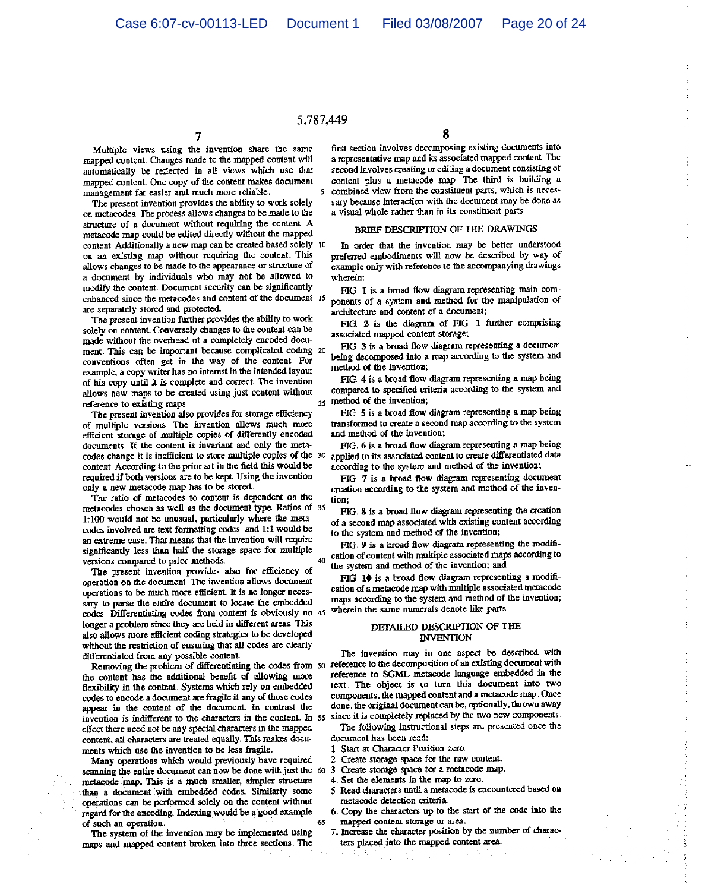# 5.787.449

Multiple views using the invention share the same mapped content. Changes made to the mapped content will automatically be reflected in all views which use that mapped content. One copy of the content makes document management far easier and much more reliable.

The present invention provides the ability to work solely on metacodes. The process allows changes to be made to the structure of a document without requiring the content A metacode map could be edited directly without the mapped content. Additionally a new map can be created based solely 10 on an existing map without requiring the content. This allows changes to be made to the appearance or structure of a document by individuals who may not be allowed to modify the content. Document security can be significantly enhanced since the metacodes and content of the document 15 are separately stored and protected.

The present invention further provides the ability to work solely on content. Conversely changes to the content can be made without the overhead of a completely encoded document. This can be important because complicated coding 20 conventions often get in the way of the content For example, a copy writer has no interest in the intended layout of his copy until it is complete and correct. The invention allows new maps to be created using just content without reference to existing maps.

The present invention also provides for storage efficiency of multiple versions. The invention allows much more efficient storage of multiple copies of differently encoded documents. If the content is invariant and only the metacodes change it is inefficient to store multiple copies of the 30 content. According to the prior art in the field this would be required if both versions are to be kept. Using the invention only a new metacode map has to be stored.

The ratio of metacodes to content is dependent on the metacodes chosen as well as the document type. Ratios of 35 1:100 would not be unusual, particularly where the metacodes involved are text formatting codes. and 1:1 would be an extreme case. That means that the invention will require significantly less than half the storage space for multiple versions compared to prior methods.

The present invention provides also for efficiency of operation on the document. The invention allows document operations to be much more efficient. It is no longer necessary to parse the entire document to locate the embedded codes Differentiating codes from content is obviously no 45 longer a problem since they are held in different areas. This also allows more efficient coding strategies to be developed without the restriction of ensuring that all codes are clearly differentiated from any possible content.

the content has the additional benefit of allowing more flexibility in the content. Systems which rely on embedded codes to encode a document are fragile if any of those codes appear in the content of the document. In contrast the invention is indifferent to the characters in the content. In 55 since it is completely replaced by the two new components. effect there need not be any special characters in the mapped content, all characters are treated equally. This makes documents which use the invention to be less fragile.

Many operations which would previously have required scanning the entire document can now be done with just the 60 3. Create storage space for a metacode map. metacode map. This is a much smaller, simpler structure than a document with embedded codes. Similarly some operations can be performed solely on the content without regard for the encoding. Indexing would be a good example of such an operation. 65

The system of the invention may be implemented using maps and mapped content broken into three sections. The

8

first section involves decomposing existing documents into a representative map and its associated mapped content. The second involves creating or editing a document consisting of content plus a metacode map. The third is building a 5 combined view from the constituent parts, which is necessary because interaction with the document may be done as a visual whole rather than in its constituent parts

#### BRIEF DESCRIPTION OF THE DRAWINGS

In order that the invention may be better understood preferred embodiments will now be described by way of example only with reference to the accompanying drawings wherein:

FIG. 1 is a broad flow diagram representing main components of a system and method for the manipulation of architecture and content of a document;

FIG. 2 is the diagram of FIG 1 further comprising associated mapped content storage;

FIG. 3 is a broad flow diagram representing a document being decomposed into a map according to the system and method of the invention;

FIG. 4 is a broad flow diagram representing a map being compared to specified criteria according to the system and 25 method of the invention;

FIG 5 is a broad flow diagram representing a map being transformed to create a second map according to the system and method of the invention;

FIG. 6 is a broad flow diagram representing a map being applied to its associated content to create differentiated data according to the system and method of the invention;

FIG 7 is a broad flow diagram representing document creation according to the system and method of the invention:

FIG 8 is a broad flow diagram representing the creation of a second map associated with existing content according to the system and method of the invention;

FIG. 9 is a broad flow diagram representing the modification of content with multiple associated maps according to 40 the system and method of the invention; and

FIG 10 is a broad flow diagram representing a modification of a metacode map with multiple associated metacode maps according to the system and method of the invention; wherein the same numerals denote like parts

#### DETAILED DESCRIPTION OF THE **INVENTION**

The invention may in one aspect be described with Removing the problem of differentiating the codes from so reference to the decomposition of an existing document with reference to SGML metacode language embedded in the text. The object is to turn this document into two components, the mapped content and a metacode map. Once done, the original document can be, optionally, thrown away

> The following instructional steps are presented once the document has been read:

- 1. Start at Character Position zero.
- 2. Create storage space for the raw content.
- 
- 4. Set the elements in the map to zero.
- 5 Read characters until a metacode is encountered based on
- metacode detection criteria.
- 6. Copy the characters up to the start of the code into the mapped content storage or area.
- 7. Increase the character position by the number of characters placed into the mapped content area.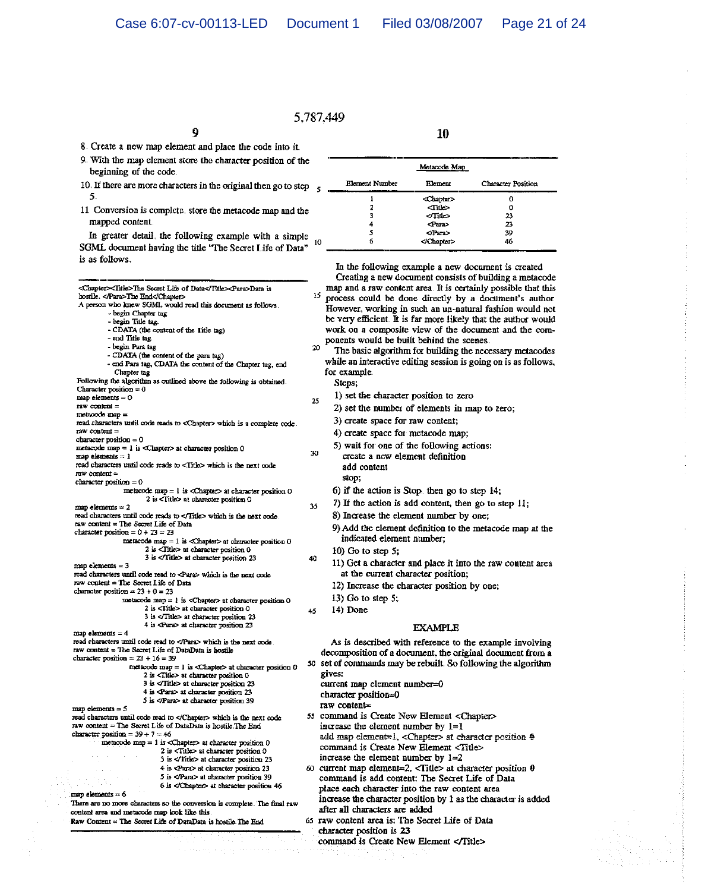# 5.787,449

8. Create a new map element and place the code into it.

```
9. With the map element store the character position of the
beginning of the code
```
9

- 10. If there are more characters in the original then go to step  $\frac{1}{5}$  $5.$
- 11 Conversion is complete, store the metacode map and the mapped content.

In greater detail, the following example with a simple  $10$ SGML document having the title "The Secret Life of Data" is as follows.

|                                                                                             | <chapter><title>The Secret Life of Data</title><para>Data is</para></chapter>                                                   |    | m         |
|---------------------------------------------------------------------------------------------|---------------------------------------------------------------------------------------------------------------------------------|----|-----------|
| bostile. The End                                                                            |                                                                                                                                 |    | 15<br>pr. |
|                                                                                             | A person who knew SGML would read this document as follows.                                                                     |    | Hс        |
| - begin Chapter tag<br>- begin Title tag.                                                   |                                                                                                                                 |    | be        |
|                                                                                             | - CDATA (the content of the Title tag)                                                                                          |    | ΨO        |
| - end Title tag.                                                                            |                                                                                                                                 |    |           |
| - begin Para tag                                                                            |                                                                                                                                 | 20 | pol       |
|                                                                                             | - CDATA (the content of the para tag)                                                                                           |    |           |
|                                                                                             | - cad Para tag, CDATA the content of the Chapter tag, end                                                                       |    | wh        |
| Chapter tag                                                                                 |                                                                                                                                 |    | for       |
|                                                                                             | Following the algorithm as outlined above the following is obtained.                                                            |    | Į         |
| Character position $= 0$                                                                    |                                                                                                                                 |    |           |
| map elements = 0<br>raw content =                                                           |                                                                                                                                 | 25 |           |
| metacode map =                                                                              |                                                                                                                                 |    |           |
|                                                                                             | read characters until code reads to <chapter> which is a complete code.</chapter>                                               |    |           |
| гаw content =                                                                               |                                                                                                                                 |    |           |
| character position $= 0$                                                                    |                                                                                                                                 |    |           |
|                                                                                             | metacode map = 1 is <chapter> at character position 0</chapter>                                                                 |    |           |
| $map$ elements $= 1$                                                                        |                                                                                                                                 | 30 |           |
|                                                                                             | read characters until code reads to <title> which is the next code</title>                                                      |    |           |
| $new content =$                                                                             |                                                                                                                                 |    |           |
| character position $= 0$                                                                    |                                                                                                                                 |    | ć         |
|                                                                                             | metacode $map = 1$ is <chapter> at character position <math>0</math><br/>2 is <title> at character position 0</title></chapter> |    |           |
| $mnp$ elements $= 2$                                                                        |                                                                                                                                 | 35 | 7         |
|                                                                                             | read characters until code reads to  which is the next code.                                                                    |    | 8         |
| raw content = The Secret Life of Data                                                       |                                                                                                                                 |    | ç         |
| character position = $0 + 23 = 23$                                                          |                                                                                                                                 |    |           |
|                                                                                             | metacode map = $1$ is <chapter> at character position 0</chapter>                                                               |    |           |
|                                                                                             | 2 is <title> at character position 0</title>                                                                                    |    | ı         |
|                                                                                             | 3 is  at character position 23                                                                                                  | 40 | 1         |
| $map$ elements = $3$                                                                        |                                                                                                                                 |    |           |
| raw content = The Secret Life of Data                                                       | read characters until code read to <para> which is the next code</para>                                                         |    |           |
| character position = $23 + 0 = 23$                                                          |                                                                                                                                 |    | 1         |
|                                                                                             | metacode map = $1$ is <chapter> at character position 0</chapter>                                                               |    | 1         |
|                                                                                             | 2 is <title> at character position 0</title>                                                                                    | 45 | 1         |
|                                                                                             | 3 is <title> at character position 23</title>                                                                                   |    |           |
|                                                                                             | 4 is <para> at character position 23</para>                                                                                     |    |           |
| $map$ elements = $4$                                                                        |                                                                                                                                 |    |           |
|                                                                                             | read characters until code read to  which is the next code.                                                                     |    | Α         |
| raw content = The Secret Life of DataData is hostile<br>character position = $23 + 16 = 39$ |                                                                                                                                 |    | dect      |
|                                                                                             | metacode map = $1$ is <chapter> at character position 0</chapter>                                                               |    | 50 set o  |
|                                                                                             | 2 is <title> at character position 0</title>                                                                                    |    | give      |
|                                                                                             | $3$ is $\le$ Title> at character position 23                                                                                    |    | curr      |
|                                                                                             | $4$ is $\triangleleft$ ara $>$ at character position 23                                                                         |    | char      |
|                                                                                             | 5 is  at character position 39                                                                                                  |    |           |
| $map$ elements = 5                                                                          |                                                                                                                                 |    | raw       |
|                                                                                             | read characters until code read to  which is the next code.                                                                     |    | 55 com    |
|                                                                                             | raw content = The Secret Life of DataData is hostile. The End                                                                   |    | incr      |
| character position = $39 + 7 = 46$                                                          |                                                                                                                                 |    | add       |
|                                                                                             | metacode $mp = 1$ is <chapter> at character position <math>0</math><br/>2 is <title> at character position 0</title></chapter>  |    | com       |
|                                                                                             | 3 is  at character position 23                                                                                                  |    | incro     |
|                                                                                             | 4 is <para> at character position 23</para>                                                                                     |    | 60 curro  |
|                                                                                             | 5 is  at character position 39                                                                                                  |    | com.      |
|                                                                                             | 6 is  at character positron 46                                                                                                  |    |           |
| $map$ elements $= 6$                                                                        |                                                                                                                                 |    | plact     |
|                                                                                             | There are no more characters so the conversion is complete. The final raw                                                       |    | incre     |
| وزاراته وبالأزار كالمسار بسمس والمستحدث وبالمساري<br>لسد فستفظ                              |                                                                                                                                 |    | after     |

|  | tent area and metacode map look like this. |  |  |                                                          |  |  |
|--|--------------------------------------------|--|--|----------------------------------------------------------|--|--|
|  |                                            |  |  | Content = The Secret Life of DataData is bostile The Red |  |  |

**Rav** 

| Metacode Map   |                     |                           |  |
|----------------|---------------------|---------------------------|--|
| Element Number | Element             | <b>Character Position</b> |  |
|                | <chapter></chapter> | Ω                         |  |
| 2              | $\tau$ itle>        | 0                         |  |
| 3              |                     | 23                        |  |
| 4              | <para></para>       | 23                        |  |
| ٢              |                     | 39                        |  |
| 6              |                     | 46                        |  |

10

In the following example a new document is created Creating a new document consists of building a metacode ap and a raw content area. It is certainly possible that this ocess could be done directly by a document's author wever, working in such an un-natural fashion would not very efficient. It is far more likely that the author would rk on a composite view of the document and the comnents would be built behind the scenes

The basic algorithm for building the necessary metacodes ile an interactive editing session is going on is as follows, example

Steps;

- 1) set the character position to zero
	- 2) set the number of elements in map to zero;
	- 3) create space for raw content;
	- 4) create space for metacode map;
- 5) wait for one of the following actions: create a new element definition add content
	- stop;
	- b) if the action is Stop, then go to step  $14$ :
- If the action is add content, then go to step  $11$ :
- 
- ) Increase the element number by one;
- ) Add the element definition to the metacode map at the indicated element number;
- 0) Go to step 5;
- 1) Get a character and place it into the raw content area at the current character position;
	- 2) Increase the character position by one;
	- $(3)$  Go to step 5;
- 4) Done

#### **EXAMPLE**

As is described with reference to the example involving composition of a document, the original document from a of commands may be rebuilt. So following the algorithm ĽS.

- rent map element number=0 racter position=0
- $content =$
- nmand is Create New Element <Chapter> ease the element number by 1=1 map element=1. <Chapter> at character position @ nmand is Create New Element <Title> ease the element number by  $1=2$
- rent map element=2, <Title> at character position 0 umand is add content: The Secret Life of Data e each character into the raw content area case the character position by 1 as the character is added all characters are added
- 65 raw content area is: The Secret Life of Data character position is 23
	- command is Create New Element </Title>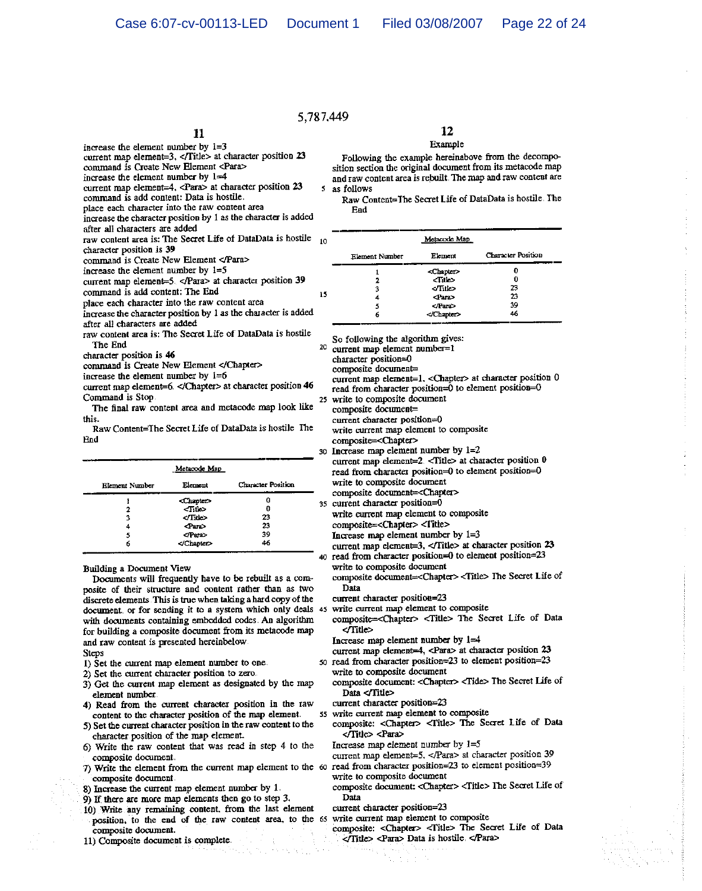# 5 787,449

# 11

- increase the element number by  $1=3$ current map element=3, </Title> at character position 23
- command is Create New Element <Para>
- increase the element number by 1=4
- current map element=4, <Para> at character position 23
- command is add content: Data is hostile.
- place each character into the raw content area
- increase the character position by 1 as the character is added
- after all characters are added
- raw content area is: The Secret Life of DataData is hostile character position is 39
- command is Create New Element </Para>
- increase the element number by  $1=5$
- current map element=5. </Para> at character position 39
- command is add content: The End
- place each character into the raw content area
- increase the character position by 1 as the character is added
- after all characters are added
- raw content area is: The Secret Life of DataData is hostile The End
- character position is 46
- command is Create New Element </Chapter>
- increase the element number by  $1=6$
- current map element=6. </Chapter> at character position 46 Command is Stop.
- The final raw content area and metacode map look like this.
- Raw Content=The Secret Life of DataData is hostile The End

| Metacode Map   |                     |                    |  |
|----------------|---------------------|--------------------|--|
| Element Number | Element             | Character Position |  |
|                | <chapter></chapter> | a                  |  |
| 7              | $\langle$ Title>    | 0                  |  |
| 3              |                     | 23                 |  |
| 4              | $_{\rm grav}$       | 23                 |  |
| 5              |                     | 39                 |  |
| 6              |                     | 46                 |  |

**Building a Document View** 

Documents will frequently have to be rebuilt as a composite of their structure and content rather than as two discrete elements. This is true when taking a hard copy of the document or for sending it to a system which only deals 45 write current map element to composite with documents containing embedded codes. An algorithm for building a composite document from its metacode map and raw content is presented hereinbelow **Steps** 

- 1) Set the current map element number to one.
- 2) Set the current character position to zero.
- 3) Get the current map element as designated by the map element number.
- 4) Read from the current character position in the raw content to the character position of the map element.
- 5) Set the current character position in the raw content to the character position of the map element.
- 6) Write the raw content that was read in step 4 to the composite document.
- 7) Write the element from the current map element to the 60 read from character position=23 to element position=39 composite document
- 8) Increase the current map element number by 1.
- 9) If there are more map elements then go to step 3.
- 10) Write any remaining content, from the last element position, to the end of the raw content area, to the 65 write current map element to composite composite document.
- 11) Composite document is complete.

# 12

### Example

Following the example hereinabove from the decomposition section the original document from its metacode map and raw content area is rebuilt. The map and raw content are 5 as follows

Raw Content=The Secret Life of DataData is hostile. The Ead

| lΟ |                | Metacode Map        |                           |  |  |
|----|----------------|---------------------|---------------------------|--|--|
|    | Element Number | Element             | <b>Character Position</b> |  |  |
|    |                | <chapter></chapter> | 0                         |  |  |
|    |                | حنانك               | 0                         |  |  |
|    | з              | $<$ Title>          | 23                        |  |  |
| 5  | 4              | <para></para>       | 23                        |  |  |
|    | 5              |                     | 39                        |  |  |
|    | 6              |                     | 46                        |  |  |
|    |                | والمتناسف فستحسب    |                           |  |  |

So following the algorithm gives:

 $20$  current map element number=1

character position=0

- composite document=
- current map element=1, <Chapter> at character position 0 read from character position=0 to element position=0
- 25 write to composite document

composite document=

current character position=0

- write current map element to composite composite=<Chapter>
- 30 Increase map element number by 1=2 current map element=2 <Title> at character position 0 read from character position=0 to element position=0
	- write to composite document
	- composite document=<Chapter>
- 35 current character position=0
	- write current map element to composite
	- composite=<Chapter> <Title>
	- Increase map element number by  $1=3$
- current map element=3, </Title> at character position 23 40 read from character position=0 to element position=23

write to composite document

composite document=<Chapter><Title> The Secret Life of Data

current character position=23

composite=<Chapter> <Title> The Secret Life of Data </Title>

Increase map element number by  $1=4$ 

- current map element=4, <Para> at character position 23 50 read from character position=23 to element position=23
	- write to composite document
	- composite document: < Chapter> <Tide> The Secret Life of Data </Title>
	- current character position=23
- 55 write current map element to composite
	- composite: <Chapter> <Title> The Secret Life of Data </Title> <Para>

Increase map element number by  $1=5$ 

- current map element=5, </Para> at character position 39
- 
- write to composite document
- composite document: <Chapter> <Title> The Secret Life of Data
- current character position=23

composite: <Chapter> <Title> The Secret Life of Data </Title> <Para> Data is hostile. </Para>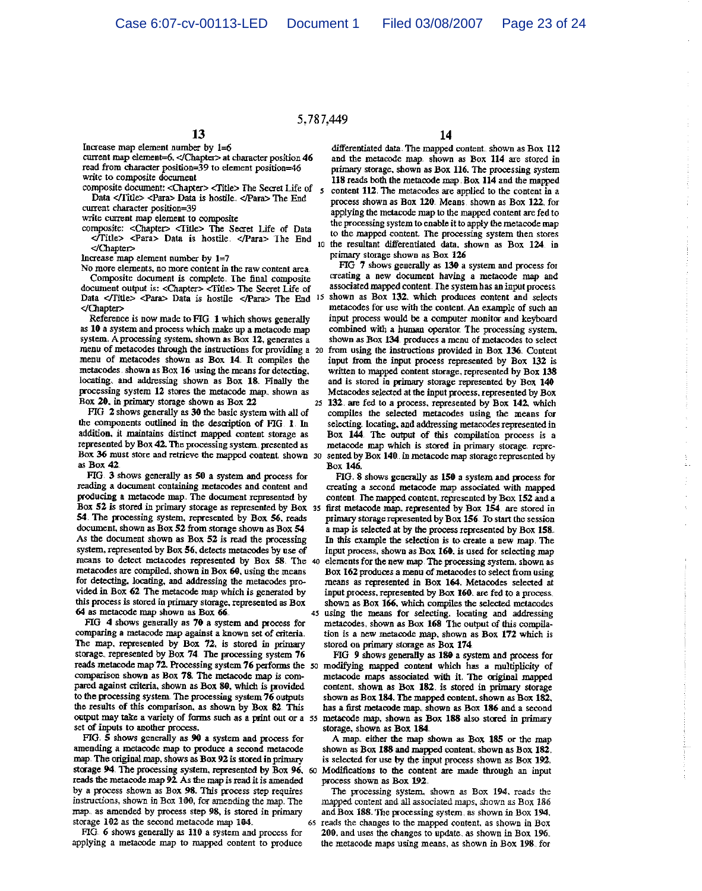# 5.787,449

13

Increase map element number by 1=6 current map element=6, </Chapter> at character position 46 read from character position=39 to element position=46 write to composite document

composite document: <Chapter> <Title> The Secret Life of 5 Data </Title> <Para> Data is hostile. </Para> The End

current character position=39

write current map element to composite

composite: <Chapter> <Title> The Secret Life of Data Tritle> <Para> Data is hostile. </Para> The End </Chapter>

Increase map element number by  $1=7$ 

No more elements, no more content in the raw content area. Composite document is complete. The final composite document output is: <Chapter> <Title> The Secret Life of Data </Title> <Para> Data is hostile </Para> The End 15 </Chapter>

Reference is now made to FIG. 1 which shows generally as 10 a system and process which make up a metacode map system. A processing system, shown as Box 12, generates a menu of metacodes through the instructions for providing a 20 menu of metacodes shown as Box 14. It compiles the metacodes shown as Box 16 using the means for detecting, locating and addressing shown as Box 18. Finally the processing system 12 stores the metacode map. shown as Box 20, in primary storage shown as Box 22

FIG 2 shows generally as 30 the basic system with all of the components outlined in the description of FIG 1 In addition, it maintains distinct mapped content storage as represented by Box 42. The processing system, presented as Box 36 must store and retrieve the mapped content shown 30 as Box 42.

FIG 3 shows generally as 50 a system and process for reading a document containing metacodes and content and producing a metacode map. The document represented by Box 52 is stored in primary storage as represented by Box 35 54. The processing system, represented by Box 56, reads document, shown as Box 52 from storage shown as Box 54. As the document shown as Box 52 is read the processing system, represented by Box 56, detects metacodes by use of means to detect metacodes represented by Box 58. The 40 metacodes are compiled, shown in Box 60, using the means for detecting, locating, and addressing the metacodes provided in Box 62 The metacode map which is generated by this process is stored in primary storage, represented as Box 64 as metacode map shown as Box 66.

FIG 4 shows generally as 70 a system and process for comparing a metacode map against a known set of criteria. The map, represented by Box 72, is stored in primary storage. represented by Box 74 The processing system 76 reads metacode map 72. Processing system 76 performs the 50 modifying mapped content which has a multiplicity of comparison shown as Box 78. The metacode map is compared against criteria, shown as Box 80, which is provided to the processing system. The processing system 76 outputs the results of this comparison, as shown by Box 82. This output may take a variety of forms such as a print out or a 55 metacode map, shown as Box 188 also stored in primary set of inputs to another process.

FIG. S shows generally as 90 a system and process for amending a metacode map to produce a second metacode map. The original map, shows as Box 92 is stored in primary storage 94. The processing system, represented by Box 96, 60 reads the metacode map 92. As the map is read it is amended by a process shown as Box 98. This process step requires instructions, shown in Box 100, for amending the map. The map. as amended by process step 98, is stored in primary storage 102 as the second metacode map 104.

FIG. 6 shows generally as 110 a system and process for applying a metacode map to mapped content to produce

# 14

differentiated data. The mapped content. shown as Box 112 and the metacode map. shown as Box 114 are stored in primary storage, shown as Box 116. The processing system 118 reads both the metacode map. Box 114 and the mapped content 112. The metacodes are applied to the content in a process shown as Box 120. Means. shown as Box 122. for applying the metacode map to the mapped content are fed to the processing system to enable it to apply the metacode map to the mapped content. The processing system then stores 10 the resultant differentiated data, shown as Box 124 in primary storage shown as Box 126

FIG 7 shows generally as 130 a system and process for creating a new document having a metacode map and associated mapped content. The system has an input process. shown as Box 132, which produces content and selects metacodes for use with the content. An example of such an input process would be a computer monitor and keyboard combined with a human operator. The processing system, shown as Box 134 produces a menu of metacodes to select from using the instructions provided in Box 136. Content input from the input process represented by Box 132 is written to mapped content storage, represented by Box 138 and is stored in primary storage represented by Box 140 Metacodes selected at the input process, represented by Box 25 132 are fed to a process, represented by Box 142, which compiles the selected metacodes using the means for selecting. locating, and addressing metacodes represented in Box 144 The output of this compilation process is a metacode map which is stored in primary storage. represented by Box 140 in metacode map storage represented by Box 146.

FIG. 8 shows generally as 150 a system and process for creating a second metacode map associated with mapped content. The mapped content, represented by Box 152 and a first metacode map, represented by Box 154, are stored in primary storage represented by Box 156. To start the session a map is selected at by the process represented by Box 158. In this example the selection is to create a new map. The input process, shown as Box 160, is used for selecting map elements for the new map. The processing system, shown as Box 162 produces a menu of metacodes to select from using means as represented in Box 164. Metacodes selected at input process, represented by Box 160. are fed to a process. shown as Box 166, which compiles the selected metacodes using the means for selecting. locating and addressing metacodes, shown as Box 168 The output of this compilation is a new metacode map, shown as Box 172 which is stored on primary storage as Box 174.

FIG 9 shows generally as 180 a system and process for metacode maps associated with it. The original mapped content. shown as Box 182. is stored in primary storage shown as Box 184. The mapped content, shown as Box 182, has a first metacode map, shown as Box 186 and a second storage, shown as Box 184.

A map, either the map shown as Box 185 or the map shown as Box 188 and mapped content. shown as Box 182. is selected for use by the input process shown as Box 192. Modifications to the content are made through an input process shown as Box 192.

The processing system, shown as Box 194, reads the mapped content and all associated maps, shown as Box 186 and Box 188. The processing system, as shown in Box 194. 65 reads the changes to the mapped content, as shown in Box 200, and uses the changes to update. as shown in Box 196. the metacode maps using means, as shown in Box 198. for